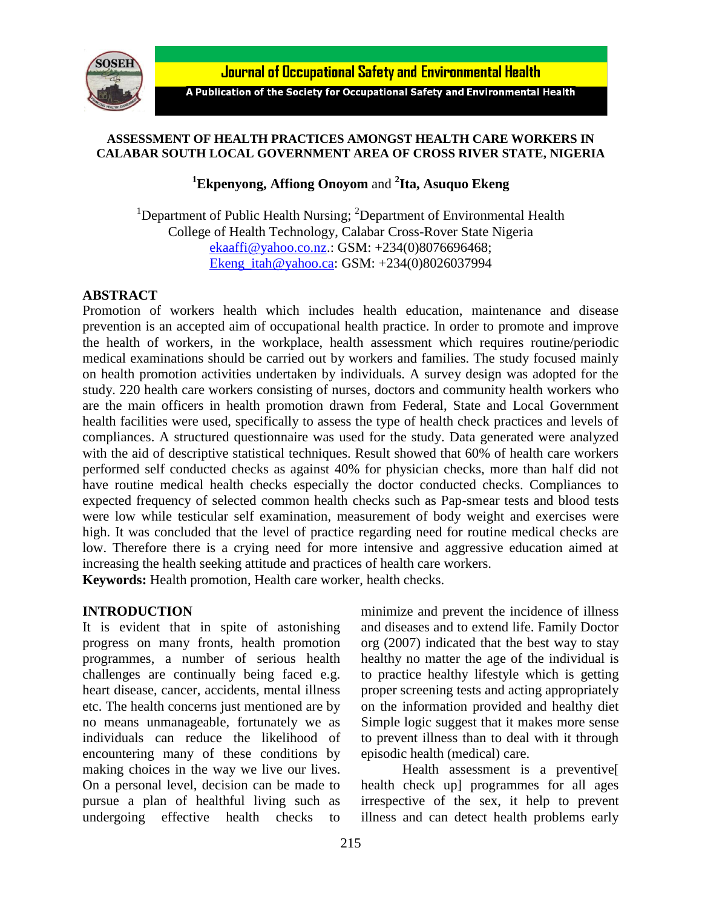

**Journal of Occupational Safety and Environmental Health** 

A Publication of the Society for Occupational Safety and Environmental Health

### **ASSESSMENT OF HEALTH PRACTICES AMONGST HEALTH CARE WORKERS IN CALABAR SOUTH LOCAL GOVERNMENT AREA OF CROSS RIVER STATE, NIGERIA**

## **<sup>1</sup>Ekpenyong, Affiong Onoyom** and **<sup>2</sup> Ita, Asuquo Ekeng**

<sup>1</sup>Department of Public Health Nursing;  ${}^{2}$ Department of Environmental Health College of Health Technology, Calabar Cross-Rover State Nigeria [ekaaffi@yahoo.co.nz.](mailto:ekaaffi@yahoo.co.nz): GSM: +234(0)8076696468; [Ekeng\\_itah@yahoo.ca:](mailto:Ekeng_itah@yahoo.ca) GSM: +234(0)8026037994

### **ABSTRACT**

Promotion of workers health which includes health education, maintenance and disease prevention is an accepted aim of occupational health practice. In order to promote and improve the health of workers, in the workplace, health assessment which requires routine/periodic medical examinations should be carried out by workers and families. The study focused mainly on health promotion activities undertaken by individuals. A survey design was adopted for the study. 220 health care workers consisting of nurses, doctors and community health workers who are the main officers in health promotion drawn from Federal, State and Local Government health facilities were used, specifically to assess the type of health check practices and levels of compliances. A structured questionnaire was used for the study. Data generated were analyzed with the aid of descriptive statistical techniques. Result showed that 60% of health care workers performed self conducted checks as against 40% for physician checks, more than half did not have routine medical health checks especially the doctor conducted checks. Compliances to expected frequency of selected common health checks such as Pap-smear tests and blood tests were low while testicular self examination, measurement of body weight and exercises were high. It was concluded that the level of practice regarding need for routine medical checks are low. Therefore there is a crying need for more intensive and aggressive education aimed at increasing the health seeking attitude and practices of health care workers. **Keywords:** Health promotion, Health care worker, health checks.

#### **INTRODUCTION**

It is evident that in spite of astonishing progress on many fronts, health promotion programmes, a number of serious health challenges are continually being faced e.g. heart disease, cancer, accidents, mental illness etc. The health concerns just mentioned are by no means unmanageable, fortunately we as individuals can reduce the likelihood of encountering many of these conditions by making choices in the way we live our lives. On a personal level, decision can be made to pursue a plan of healthful living such as undergoing effective health checks to

minimize and prevent the incidence of illness and diseases and to extend life. Family Doctor org (2007) indicated that the best way to stay healthy no matter the age of the individual is to practice healthy lifestyle which is getting proper screening tests and acting appropriately on the information provided and healthy diet Simple logic suggest that it makes more sense to prevent illness than to deal with it through episodic health (medical) care.

Health assessment is a preventive[ health check up] programmes for all ages irrespective of the sex, it help to prevent illness and can detect health problems early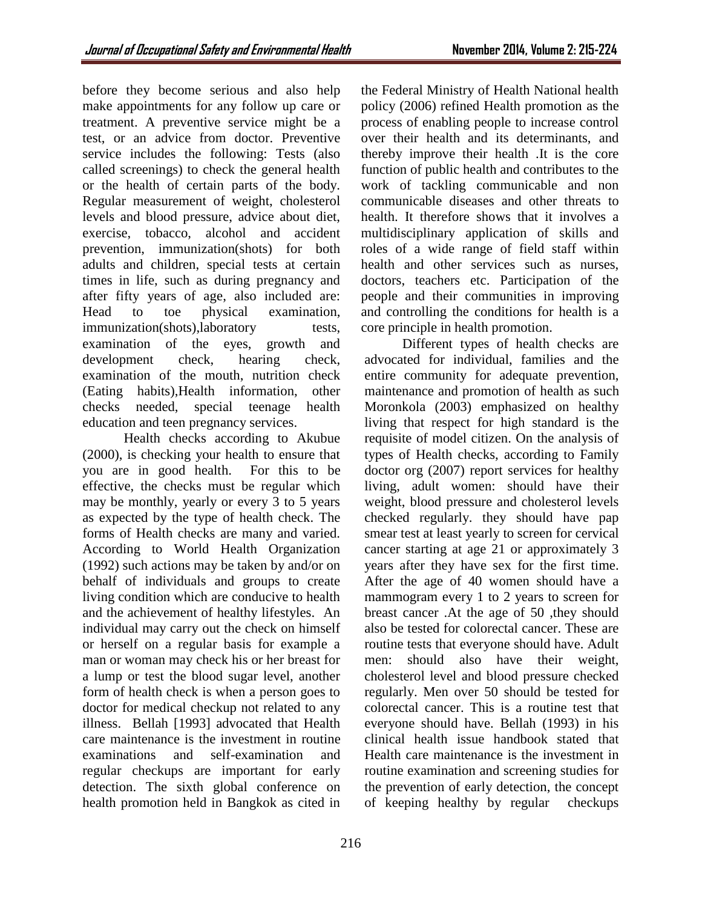before they become serious and also help make appointments for any follow up care or treatment. A preventive service might be a test, or an advice from doctor. Preventive service includes the following: Tests (also called screenings) to check the general health or the health of certain parts of the body. Regular measurement of weight, cholesterol levels and blood pressure, advice about diet, exercise, tobacco, alcohol and accident prevention, immunization(shots) for both adults and children, special tests at certain times in life, such as during pregnancy and after fifty years of age, also included are: Head to toe physical examination, immunization(shots),laboratory tests, examination of the eyes, growth and development check, hearing check, examination of the mouth, nutrition check (Eating habits),Health information, other checks needed, special teenage health education and teen pregnancy services.

Health checks according to Akubue (2000), is checking your health to ensure that you are in good health. For this to be effective, the checks must be regular which may be monthly, yearly or every 3 to 5 years as expected by the type of health check. The forms of Health checks are many and varied. According to World Health Organization (1992) such actions may be taken by and/or on behalf of individuals and groups to create living condition which are conducive to health and the achievement of healthy lifestyles. An individual may carry out the check on himself or herself on a regular basis for example a man or woman may check his or her breast for a lump or test the blood sugar level, another form of health check is when a person goes to doctor for medical checkup not related to any illness. Bellah [1993] advocated that Health care maintenance is the investment in routine examinations and self-examination and regular checkups are important for early detection. The sixth global conference on health promotion held in Bangkok as cited in

the Federal Ministry of Health National health policy (2006) refined Health promotion as the process of enabling people to increase control over their health and its determinants, and thereby improve their health .It is the core function of public health and contributes to the work of tackling communicable and non communicable diseases and other threats to health. It therefore shows that it involves a multidisciplinary application of skills and roles of a wide range of field staff within health and other services such as nurses, doctors, teachers etc. Participation of the people and their communities in improving and controlling the conditions for health is a core principle in health promotion.

Different types of health checks are advocated for individual, families and the entire community for adequate prevention, maintenance and promotion of health as such Moronkola (2003) emphasized on healthy living that respect for high standard is the requisite of model citizen. On the analysis of types of Health checks, according to Family doctor org (2007) report services for healthy living, adult women: should have their weight, blood pressure and cholesterol levels checked regularly. they should have pap smear test at least yearly to screen for cervical cancer starting at age 21 or approximately 3 years after they have sex for the first time. After the age of 40 women should have a mammogram every 1 to 2 years to screen for breast cancer .At the age of 50 ,they should also be tested for colorectal cancer. These are routine tests that everyone should have. Adult men: should also have their weight, cholesterol level and blood pressure checked regularly. Men over 50 should be tested for colorectal cancer. This is a routine test that everyone should have. Bellah (1993) in his clinical health issue handbook stated that Health care maintenance is the investment in routine examination and screening studies for the prevention of early detection, the concept of keeping healthy by regular checkups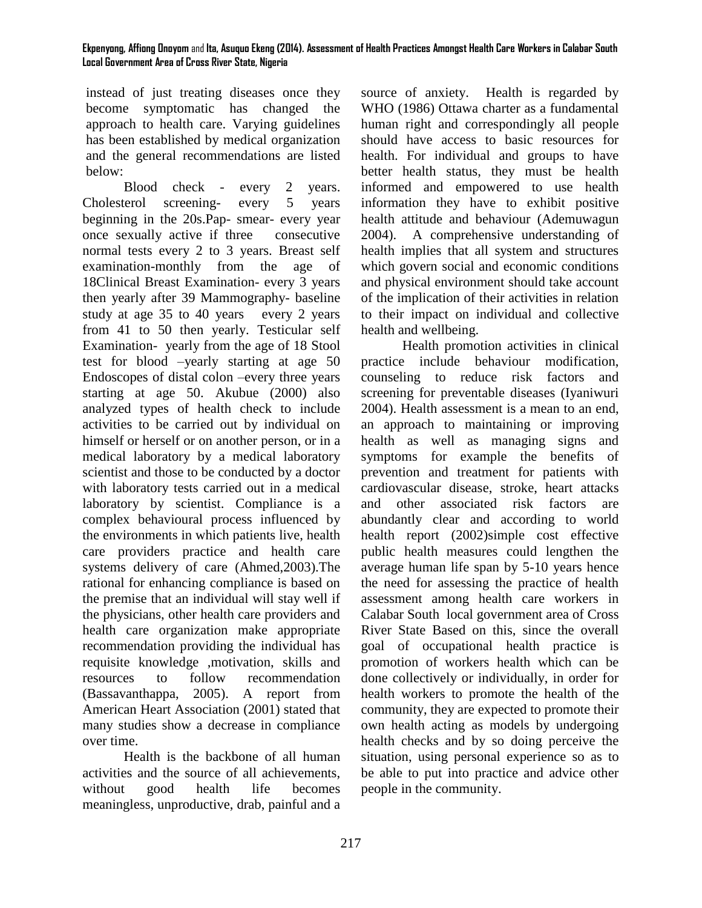instead of just treating diseases once they become symptomatic has changed the approach to health care. Varying guidelines has been established by medical organization and the general recommendations are listed below:

Blood check - every 2 years. Cholesterol screening- every 5 years beginning in the 20s.Pap- smear- every year once sexually active if three consecutive normal tests every 2 to 3 years. Breast self examination-monthly from the age of 18Clinical Breast Examination- every 3 years then yearly after 39 Mammography- baseline study at age 35 to 40 years every 2 years from 41 to 50 then yearly. Testicular self Examination- yearly from the age of 18 Stool test for blood –yearly starting at age 50 Endoscopes of distal colon –every three years starting at age 50. Akubue (2000) also analyzed types of health check to include activities to be carried out by individual on himself or herself or on another person, or in a medical laboratory by a medical laboratory scientist and those to be conducted by a doctor with laboratory tests carried out in a medical laboratory by scientist. Compliance is a complex behavioural process influenced by the environments in which patients live, health care providers practice and health care systems delivery of care (Ahmed,2003).The rational for enhancing compliance is based on the premise that an individual will stay well if the physicians, other health care providers and health care organization make appropriate recommendation providing the individual has requisite knowledge ,motivation, skills and resources to follow recommendation (Bassavanthappa, 2005). A report from American Heart Association (2001) stated that many studies show a decrease in compliance over time.

Health is the backbone of all human activities and the source of all achievements, without good health life becomes meaningless, unproductive, drab, painful and a source of anxiety. Health is regarded by WHO (1986) Ottawa charter as a fundamental human right and correspondingly all people should have access to basic resources for health. For individual and groups to have better health status, they must be health informed and empowered to use health information they have to exhibit positive health attitude and behaviour (Ademuwagun 2004). A comprehensive understanding of health implies that all system and structures which govern social and economic conditions and physical environment should take account of the implication of their activities in relation to their impact on individual and collective health and wellbeing.

Health promotion activities in clinical practice include behaviour modification, counseling to reduce risk factors and screening for preventable diseases (Iyaniwuri 2004). Health assessment is a mean to an end, an approach to maintaining or improving health as well as managing signs and symptoms for example the benefits of prevention and treatment for patients with cardiovascular disease, stroke, heart attacks and other associated risk factors are abundantly clear and according to world health report (2002)simple cost effective public health measures could lengthen the average human life span by 5-10 years hence the need for assessing the practice of health assessment among health care workers in Calabar South local government area of Cross River State Based on this, since the overall goal of occupational health practice is promotion of workers health which can be done collectively or individually, in order for health workers to promote the health of the community, they are expected to promote their own health acting as models by undergoing health checks and by so doing perceive the situation, using personal experience so as to be able to put into practice and advice other people in the community.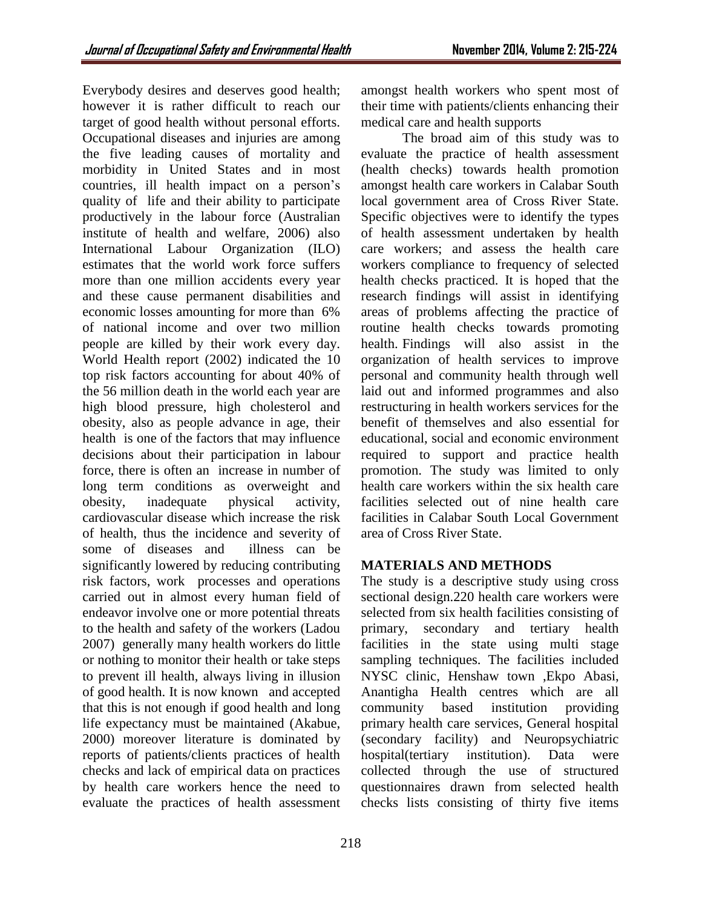Everybody desires and deserves good health; however it is rather difficult to reach our target of good health without personal efforts. Occupational diseases and injuries are among the five leading causes of mortality and morbidity in United States and in most countries, ill health impact on a person's quality of life and their ability to participate productively in the labour force (Australian institute of health and welfare, 2006) also International Labour Organization (ILO) estimates that the world work force suffers more than one million accidents every year and these cause permanent disabilities and economic losses amounting for more than 6% of national income and over two million people are killed by their work every day. World Health report (2002) indicated the 10 top risk factors accounting for about 40% of the 56 million death in the world each year are high blood pressure, high cholesterol and obesity, also as people advance in age, their health is one of the factors that may influence decisions about their participation in labour force, there is often an increase in number of long term conditions as overweight and obesity, inadequate physical activity, cardiovascular disease which increase the risk of health, thus the incidence and severity of some of diseases and illness can be significantly lowered by reducing contributing risk factors, work processes and operations carried out in almost every human field of endeavor involve one or more potential threats to the health and safety of the workers (Ladou 2007) generally many health workers do little or nothing to monitor their health or take steps to prevent ill health, always living in illusion of good health. It is now known and accepted that this is not enough if good health and long life expectancy must be maintained (Akabue, 2000) moreover literature is dominated by reports of patients/clients practices of health checks and lack of empirical data on practices by health care workers hence the need to evaluate the practices of health assessment

amongst health workers who spent most of their time with patients/clients enhancing their medical care and health supports

The broad aim of this study was to evaluate the practice of health assessment (health checks) towards health promotion amongst health care workers in Calabar South local government area of Cross River State. Specific objectives were to identify the types of health assessment undertaken by health care workers; and assess the health care workers compliance to frequency of selected health checks practiced. It is hoped that the research findings will assist in identifying areas of problems affecting the practice of routine health checks towards promoting health. Findings will also assist in the organization of health services to improve personal and community health through well laid out and informed programmes and also restructuring in health workers services for the benefit of themselves and also essential for educational, social and economic environment required to support and practice health promotion. The study was limited to only health care workers within the six health care facilities selected out of nine health care facilities in Calabar South Local Government area of Cross River State.

# **MATERIALS AND METHODS**

The study is a descriptive study using cross sectional design.220 health care workers were selected from six health facilities consisting of primary, secondary and tertiary health facilities in the state using multi stage sampling techniques. The facilities included NYSC clinic, Henshaw town ,Ekpo Abasi, Anantigha Health centres which are all community based institution providing primary health care services, General hospital (secondary facility) and Neuropsychiatric hospital(tertiary institution). Data were collected through the use of structured questionnaires drawn from selected health checks lists consisting of thirty five items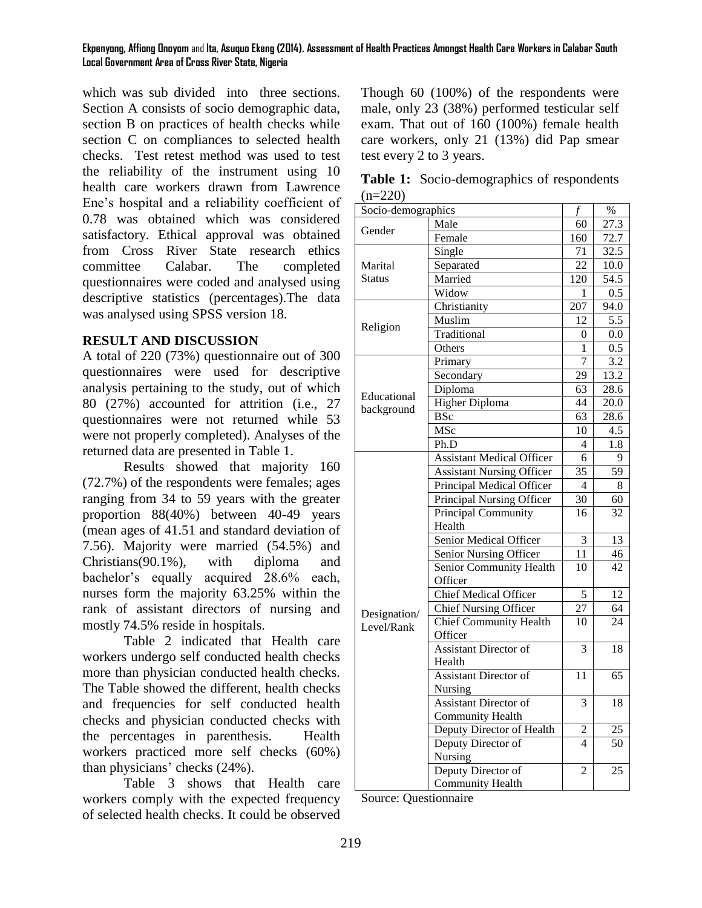which was sub divided into three sections. Section A consists of socio demographic data, section B on practices of health checks while section C on compliances to selected health checks. Test retest method was used to test the reliability of the instrument using 10 health care workers drawn from Lawrence Ene's hospital and a reliability coefficient of 0.78 was obtained which was considered satisfactory. Ethical approval was obtained from Cross River State research ethics committee Calabar. The completed questionnaires were coded and analysed using descriptive statistics (percentages).The data was analysed using SPSS version 18.

### **RESULT AND DISCUSSION**

A total of 220 (73%) questionnaire out of 300 questionnaires were used for descriptive analysis pertaining to the study, out of which 80 (27%) accounted for attrition (i.e., 27 questionnaires were not returned while 53 were not properly completed). Analyses of the returned data are presented in Table 1.

Results showed that majority 160 (72.7%) of the respondents were females; ages ranging from 34 to 59 years with the greater proportion 88(40%) between 40-49 years (mean ages of 41.51 and standard deviation of 7.56). Majority were married (54.5%) and Christians(90.1%), with diploma and bachelor's equally acquired 28.6% each, nurses form the majority 63.25% within the rank of assistant directors of nursing and mostly 74.5% reside in hospitals.

Table 2 indicated that Health care workers undergo self conducted health checks more than physician conducted health checks. The Table showed the different, health checks and frequencies for self conducted health checks and physician conducted checks with the percentages in parenthesis. Health workers practiced more self checks (60%) than physicians' checks (24%).

Table 3 shows that Health care workers comply with the expected frequency of selected health checks. It could be observed Though 60 (100%) of the respondents were male, only 23 (38%) performed testicular self exam. That out of 160 (100%) female health care workers, only 21 (13%) did Pap smear test every 2 to 3 years.

|           | <b>Table 1:</b> Socio-demographics of respondents |  |
|-----------|---------------------------------------------------|--|
| $(n=220)$ |                                                   |  |

|               | Socio-demographics               |                          | $\%$            |
|---------------|----------------------------------|--------------------------|-----------------|
|               | Male                             | f<br>60                  | 27.3            |
| Gender        | Female                           | 160                      | 72.7            |
|               | Single                           | 71                       | 32.5            |
| Marital       | Separated                        | 22                       | 10.0            |
| <b>Status</b> | Married                          | 120                      | 54.5            |
|               | Widow                            | 1                        | 0.5             |
|               | Christianity                     | 207                      | 94.0            |
| Religion      | Muslim                           | 12                       | 5.5             |
|               | Traditional                      | 0                        | 0.0             |
|               | Others                           | 1                        | 0.5             |
|               | Primary                          | $\overline{7}$           | 3.2             |
|               | Secondary                        | 29                       | 13.2            |
|               | Diploma                          | 63                       | 28.6            |
| Educational   | <b>Higher Diploma</b>            | 44                       | 20.0            |
| background    | <b>BSc</b>                       | 63                       | 28.6            |
|               | MSc                              | 10                       | 4.5             |
|               | Ph.D                             | 4                        | 1.8             |
|               | <b>Assistant Medical Officer</b> | 6                        | 9               |
|               | <b>Assistant Nursing Officer</b> | 35                       | $\overline{59}$ |
|               | Principal Medical Officer        | 4                        | 8               |
|               | Principal Nursing Officer        | 30                       | 60              |
|               | Principal Community              | 16                       | 32              |
|               | Health                           |                          |                 |
|               | Senior Medical Officer           | 3                        | 13              |
|               | Senior Nursing Officer           | 11                       | 46              |
|               | Senior Community Health          | 10                       | 42              |
|               | Officer                          |                          |                 |
|               | <b>Chief Medical Officer</b>     | 5                        | 12              |
| Designation/  | <b>Chief Nursing Officer</b>     | 27                       | 64              |
| Level/Rank    | <b>Chief Community Health</b>    | 10                       | 24              |
|               | Officer                          |                          |                 |
|               | <b>Assistant Director of</b>     | 3                        | 18              |
|               | Health                           |                          |                 |
|               | <b>Assistant Director of</b>     | 11                       | 65              |
|               | Nursing                          |                          |                 |
|               | <b>Assistant Director of</b>     | 3                        | 18              |
|               | <b>Community Health</b>          |                          |                 |
|               | Deputy Director of Health        | $\overline{c}$           | 25              |
|               | Deputy Director of               | $\overline{\mathcal{A}}$ | $\overline{50}$ |
|               | Nursing                          |                          |                 |
|               | Deputy Director of               | $\overline{2}$           | 25              |
|               | <b>Community Health</b>          |                          |                 |

Source: Questionnaire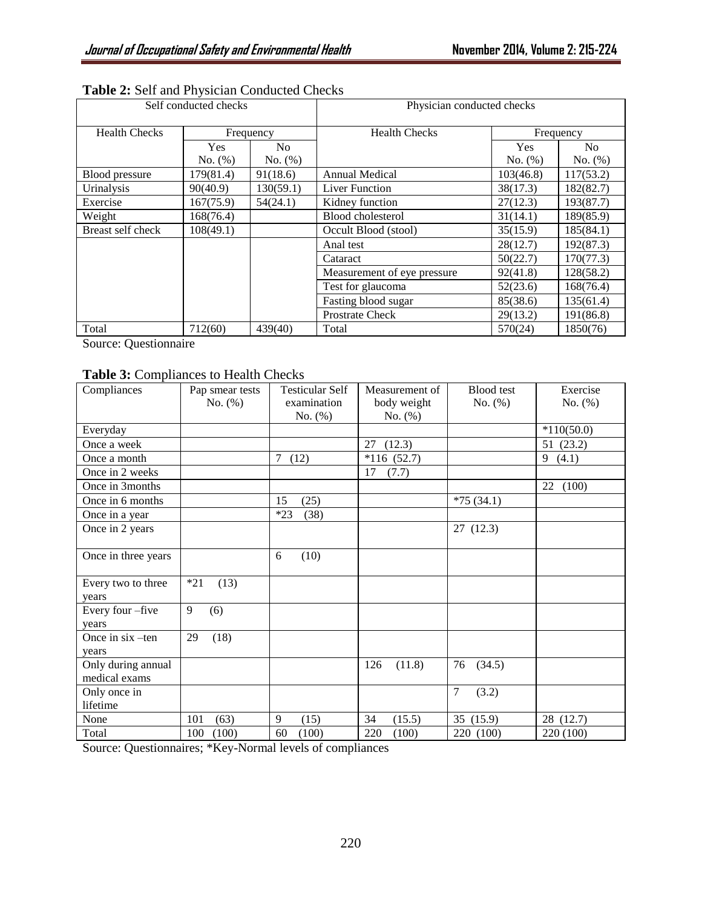| Self conducted checks |            |           | Physician conducted checks  |            |           |
|-----------------------|------------|-----------|-----------------------------|------------|-----------|
| <b>Health Checks</b>  | Frequency  |           | <b>Health Checks</b>        | Frequency  |           |
|                       | <b>Yes</b> | No.       |                             | <b>Yes</b> | No.       |
|                       | No. (%)    | No. (%)   |                             | No. (%)    | No. (%)   |
| Blood pressure        | 179(81.4)  | 91(18.6)  | <b>Annual Medical</b>       | 103(46.8)  | 117(53.2) |
| Urinalysis            | 90(40.9)   | 130(59.1) | <b>Liver Function</b>       | 38(17.3)   | 182(82.7) |
| Exercise              | 167(75.9)  | 54(24.1)  | Kidney function             | 27(12.3)   | 193(87.7) |
| Weight                | 168(76.4)  |           | <b>Blood</b> cholesterol    | 31(14.1)   | 189(85.9) |
| Breast self check     | 108(49.1)  |           | Occult Blood (stool)        | 35(15.9)   | 185(84.1) |
|                       |            |           | Anal test                   | 28(12.7)   | 192(87.3) |
|                       |            |           | Cataract                    | 50(22.7)   | 170(77.3) |
|                       |            |           | Measurement of eye pressure | 92(41.8)   | 128(58.2) |
|                       |            |           | Test for glaucoma           | 52(23.6)   | 168(76.4) |
|                       |            |           | Fasting blood sugar         | 85(38.6)   | 135(61.4) |
|                       |            |           | <b>Prostrate Check</b>      | 29(13.2)   | 191(86.8) |
| Total                 | 712(60)    | 439(40)   | Total                       | 570(24)    | 1850(76)  |

## **Table 2:** Self and Physician Conducted Checks

Source: Questionnaire

## **Table 3:** Compliances to Health Checks

| Compliances                         | Pap smear tests<br>$No. (\%)$ | <b>Testicular Self</b><br>examination | Measurement of<br>body weight | <b>Blood</b> test<br>No. $(\%)$ | Exercise<br>No. (%) |
|-------------------------------------|-------------------------------|---------------------------------------|-------------------------------|---------------------------------|---------------------|
|                                     |                               | No. $(\%)$                            | No. $(\%)$                    |                                 |                     |
| Everyday                            |                               |                                       |                               |                                 | $*110(50.0)$        |
| Once a week                         |                               |                                       | (12.3)<br>27                  |                                 | 51 (23.2)           |
| Once a month                        |                               | 7<br>(12)                             | $*116(52.7)$                  |                                 | 9<br>(4.1)          |
| Once in 2 weeks                     |                               |                                       | (7.7)<br>17                   |                                 |                     |
| Once in 3months                     |                               |                                       |                               |                                 | (100)<br>22         |
| Once in 6 months                    |                               | (25)<br>15                            |                               | $*75(34.1)$                     |                     |
| Once in a year                      |                               | $*23$<br>(38)                         |                               |                                 |                     |
| Once in 2 years                     |                               |                                       |                               | 27(12.3)                        |                     |
| Once in three years                 |                               | (10)<br>6                             |                               |                                 |                     |
| Every two to three<br>years         | $*21$<br>(13)                 |                                       |                               |                                 |                     |
| Every four-five<br>years            | 9<br>(6)                      |                                       |                               |                                 |                     |
| Once in $six$ –ten<br>years         | 29<br>(18)                    |                                       |                               |                                 |                     |
| Only during annual<br>medical exams |                               |                                       | 126<br>(11.8)                 | 76<br>(34.5)                    |                     |
| Only once in<br>lifetime            |                               |                                       |                               | $\overline{7}$<br>(3.2)         |                     |
| None                                | 101<br>(63)                   | 9<br>(15)                             | 34<br>(15.5)                  | 35 (15.9)                       | 28 (12.7)           |
| Total                               | 100<br>(100)                  | (100)<br>60                           | 220<br>(100)                  | 220 (100)                       | 220 (100)           |

Source: Questionnaires; \*Key-Normal levels of compliances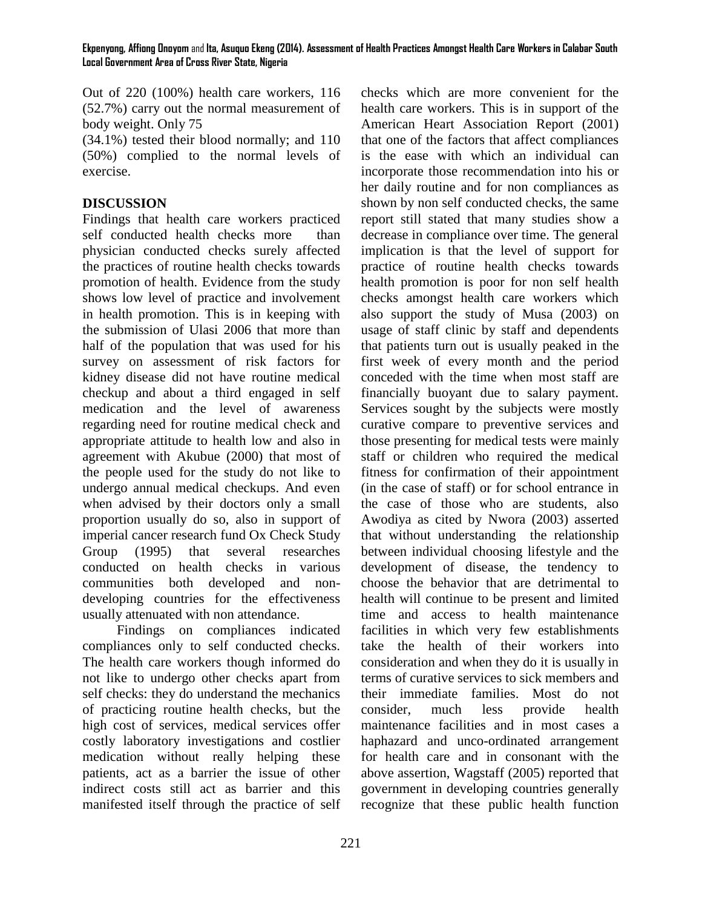Out of 220 (100%) health care workers, 116 (52.7%) carry out the normal measurement of body weight. Only 75

(34.1%) tested their blood normally; and 110 (50%) complied to the normal levels of exercise.

## **DISCUSSION**

Findings that health care workers practiced self conducted health checks more than physician conducted checks surely affected the practices of routine health checks towards promotion of health. Evidence from the study shows low level of practice and involvement in health promotion. This is in keeping with the submission of Ulasi 2006 that more than half of the population that was used for his survey on assessment of risk factors for kidney disease did not have routine medical checkup and about a third engaged in self medication and the level of awareness regarding need for routine medical check and appropriate attitude to health low and also in agreement with Akubue (2000) that most of the people used for the study do not like to undergo annual medical checkups. And even when advised by their doctors only a small proportion usually do so, also in support of imperial cancer research fund Ox Check Study Group (1995) that several researches conducted on health checks in various communities both developed and nondeveloping countries for the effectiveness usually attenuated with non attendance.

Findings on compliances indicated compliances only to self conducted checks. The health care workers though informed do not like to undergo other checks apart from self checks: they do understand the mechanics of practicing routine health checks, but the high cost of services, medical services offer costly laboratory investigations and costlier medication without really helping these patients, act as a barrier the issue of other indirect costs still act as barrier and this manifested itself through the practice of self

checks which are more convenient for the health care workers. This is in support of the American Heart Association Report (2001) that one of the factors that affect compliances is the ease with which an individual can incorporate those recommendation into his or her daily routine and for non compliances as shown by non self conducted checks, the same report still stated that many studies show a decrease in compliance over time. The general implication is that the level of support for practice of routine health checks towards health promotion is poor for non self health checks amongst health care workers which also support the study of Musa (2003) on usage of staff clinic by staff and dependents that patients turn out is usually peaked in the first week of every month and the period conceded with the time when most staff are financially buoyant due to salary payment. Services sought by the subjects were mostly curative compare to preventive services and those presenting for medical tests were mainly staff or children who required the medical fitness for confirmation of their appointment (in the case of staff) or for school entrance in the case of those who are students, also Awodiya as cited by Nwora (2003) asserted that without understanding the relationship between individual choosing lifestyle and the development of disease, the tendency to choose the behavior that are detrimental to health will continue to be present and limited time and access to health maintenance facilities in which very few establishments take the health of their workers into consideration and when they do it is usually in terms of curative services to sick members and their immediate families. Most do not consider, much less provide health maintenance facilities and in most cases a haphazard and unco-ordinated arrangement for health care and in consonant with the above assertion, Wagstaff (2005) reported that government in developing countries generally recognize that these public health function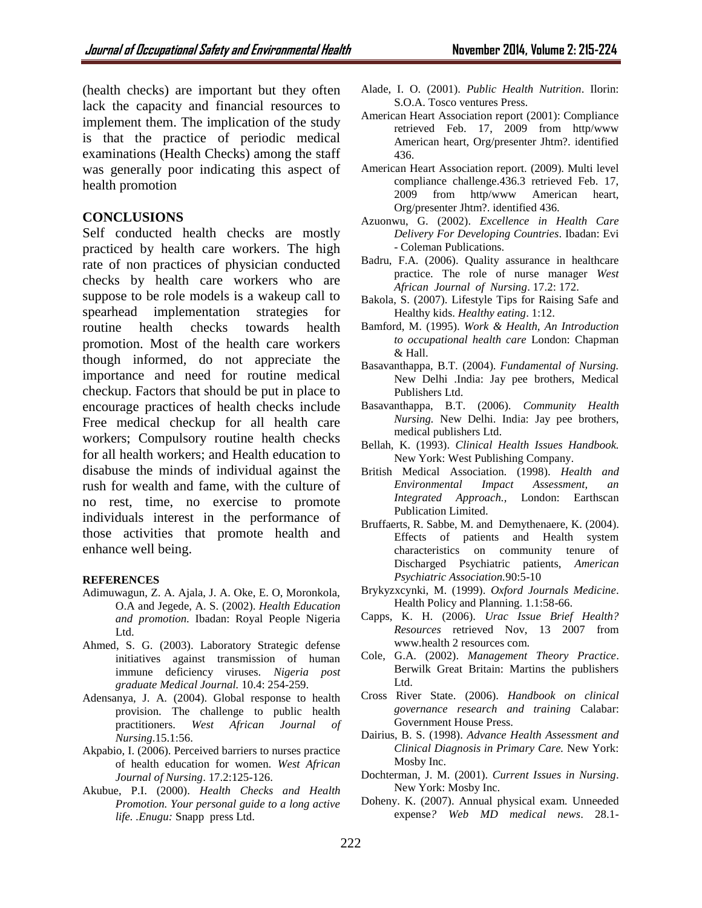(health checks) are important but they often lack the capacity and financial resources to implement them. The implication of the study is that the practice of periodic medical examinations (Health Checks) among the staff was generally poor indicating this aspect of health promotion

### **CONCLUSIONS**

Self conducted health checks are mostly practiced by health care workers. The high rate of non practices of physician conducted checks by health care workers who are suppose to be role models is a wakeup call to spearhead implementation strategies for routine health checks towards health promotion. Most of the health care workers though informed, do not appreciate the importance and need for routine medical checkup. Factors that should be put in place to encourage practices of health checks include Free medical checkup for all health care workers; Compulsory routine health checks for all health workers; and Health education to disabuse the minds of individual against the rush for wealth and fame, with the culture of no rest, time, no exercise to promote individuals interest in the performance of those activities that promote health and enhance well being.

#### **REFERENCES**

- Adimuwagun, Z. A. Ajala, J. A. Oke, E. O, Moronkola, O.A and Jegede, A. S. (2002). *Health Education and promotion*. Ibadan: Royal People Nigeria Ltd.
- Ahmed, S. G. (2003). Laboratory Strategic defense initiatives against transmission of human immune deficiency viruses. *Nigeria post graduate Medical Journal.* 10.4: 254-259.
- Adensanya, J. A. (2004). Global response to health provision. The challenge to public health practitioners. *West African Journal of Nursing*.15.1:56.
- Akpabio, I. (2006). Perceived barriers to nurses practice of health education for women. *West African Journal of Nursing*. 17.2:125-126.
- Akubue, P.I. (2000). *Health Checks and Health Promotion. Your personal guide to a long active life. .Enugu:* Snapp press Ltd.
- Alade, I. O. (2001). *Public Health Nutrition*. Ilorin: S.O.A. Tosco ventures Press.
- American Heart Association report (2001): Compliance retrieved Feb. 17, 2009 from http/www American heart, Org/presenter Jhtm?. identified 436.
- American Heart Association report. (2009). Multi level compliance challenge.436.3 retrieved Feb. 17, 2009 from http/www American heart, Org/presenter Jhtm?. identified 436.
- Azuonwu, G. (2002). *Excellence in Health Care Delivery For Developing Countries*. Ibadan: Evi - Coleman Publications.
- Badru, F.A. (2006). Quality assurance in healthcare practice. The role of nurse manager *West African Journal of Nursing*. 17.2: 172.
- Bakola, S. (2007). Lifestyle Tips for Raising Safe and Healthy kids. *Healthy eating*. 1:12.
- Bamford, M. (1995). *Work & Health, An Introduction to occupational health care* London: Chapman & Hall.
- Basavanthappa, B.T. (2004). *Fundamental of Nursing.* New Delhi .India: Jay pee brothers, Medical Publishers Ltd.
- Basavanthappa, B.T. (2006). *Community Health Nursing.* New Delhi. India: Jay pee brothers, medical publishers Ltd.
- Bellah, K. (1993). *Clinical Health Issues Handbook.* New York: West Publishing Company.
- British Medical Association. (1998). *Health and Environmental Impact Assessment, an Integrated Approach.,* London: Earthscan Publication Limited.
- Bruffaerts, R. Sabbe, M. and Demythenaere, K. (2004). Effects of patients and Health system characteristics on community tenure of Discharged Psychiatric patients, *American Psychiatric Association.*90:5-10
- Brykyzxcynki, M. (1999). *Oxford Journals Medicine*. Health Policy and Planning. 1.1:58-66.
- Capps, K. H. (2006). *Urac Issue Brief Health? Resources* retrieved Nov, 13 2007 from [www.health](http://www.health/) 2 resources com.
- Cole, G.A. (2002). *Management Theory Practice*. Berwilk Great Britain: Martins the publishers Ltd.
- Cross River State. (2006). *Handbook on clinical governance research and training* Calabar: Government House Press.
- Dairius, B. S. (1998). *Advance Health Assessment and Clinical Diagnosis in Primary Care.* New York: Mosby Inc.
- Dochterman, J. M. (2001). *Current Issues in Nursing*. New York: Mosby Inc.
- Doheny. K. (2007). Annual physical exam*.* Unneeded expense*? Web MD medical news*. 28.1-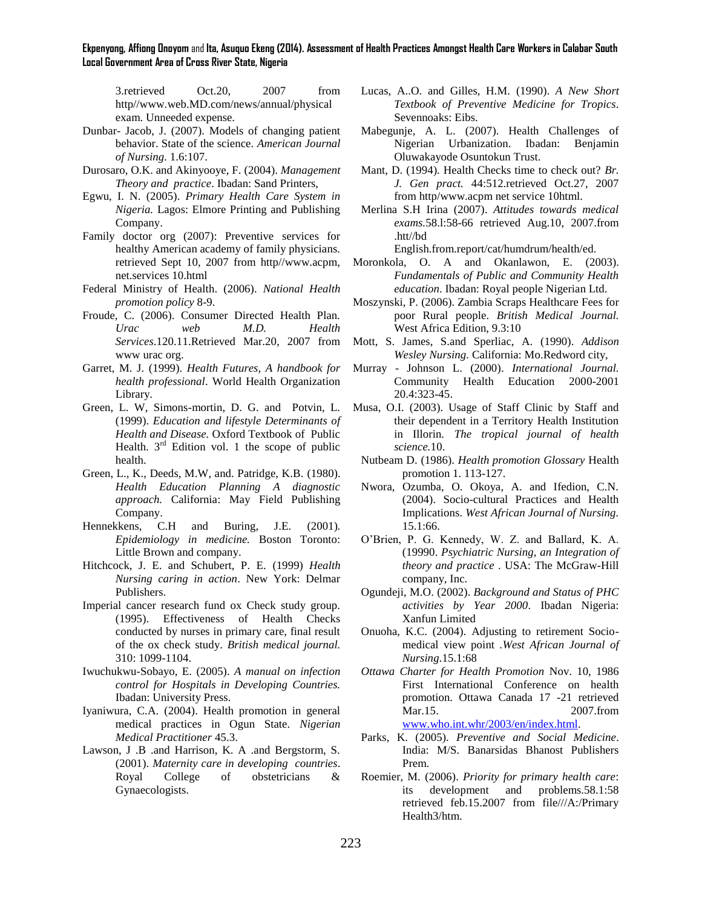3.retrieved Oct.20, 2007 from http//www.web.MD.com/news/annual/physical exam. Unneeded expense.

- Dunbar- Jacob, J. (2007). Models of changing patient behavior. State of the science. *American Journal of Nursing*. 1.6:107.
- Durosaro, O.K. and Akinyooye, F. (2004). *Management Theory and practice*. Ibadan: Sand Printers,
- Egwu, I. N. (2005). *Primary Health Care System in Nigeria.* Lagos: Elmore Printing and Publishing Company.
- Family doctor org (2007): Preventive services for healthy American academy of family physicians. retrieved Sept 10, 2007 from http//www.acpm, net.services 10.html
- Federal Ministry of Health. (2006). *National Health promotion policy* 8-9.
- Froude, C. (2006). Consumer Directed Health Plan. *Urac web M.D. Health Services*.120.11.Retrieved Mar.20, 2007 from www urac org.
- Garret, M. J. (1999). *Health Futures, A handbook for health professional*. World Health Organization Library.
- Green, L. W, Simons-mortin, D. G. and Potvin, L. (1999). *Education and lifestyle Determinants of Health and Disease.* Oxford Textbook of Public Health.  $3<sup>rd</sup>$  Edition vol. 1 the scope of public health.
- Green, L., K., Deeds, M.W, and. Patridge, K.B. (1980). *Health Education Planning A diagnostic approach.* California: May Field Publishing Company.
- Hennekkens, C.H and Buring, J.E. (2001)*. Epidemiology in medicine.* Boston Toronto: Little Brown and company.
- Hitchcock, J. E. and Schubert, P. E. (1999) *Health Nursing caring in action*. New York: Delmar Publishers.
- Imperial cancer research fund ox Check study group. (1995). Effectiveness of Health Checks conducted by nurses in primary care, final result of the ox check study. *British medical journal.* 310: 1099-1104.
- Iwuchukwu-Sobayo, E. (2005). *A manual on infection control for Hospitals in Developing Countries.* Ibadan: University Press.
- Iyaniwura, C.A. (2004). Health promotion in general medical practices in Ogun State. *Nigerian Medical Practitioner* 45.3.
- Lawson, J .B .and Harrison, K. A .and Bergstorm, S. (2001). *Maternity care in developing countries*. Royal College of obstetricians & Gynaecologists.
- Lucas, A..O. and Gilles, H.M. (1990). *A New Short Textbook of Preventive Medicine for Tropics*. Sevennoaks: Eibs.
- Mabegunje, A. L. (2007). Health Challenges of Nigerian Urbanization. Ibadan: Benjamin Oluwakayode Osuntokun Trust.
- Mant, D. (1994). Health Checks time to check out? *Br. J. Gen pract.* 44:512.retrieved Oct.27, 2007 from http/www.acpm net service 10html.
- Merlina S.H Irina (2007). *Attitudes towards medical exams.*58.l:58-66 retrieved Aug.10, 2007.from .htt//bd

English.from.report/cat/humdrum/health/ed.

- Moronkola, O. A and Okanlawon, E. (2003). *Fundamentals of Public and Community Health education*. Ibadan: Royal people Nigerian Ltd.
- Moszynski, P. (2006). Zambia Scraps Healthcare Fees for poor Rural people. *British Medical Journal.* West Africa Edition, 9.3:10
- Mott, S. James, S.and Sperliac, A. (1990). *Addison Wesley Nursing.* California: Mo.Redword city,
- Murray Johnson L. (2000). *International Journal.*  Community Health Education 2000-2001 20.4:323-45.
- Musa, O.I. (2003). Usage of Staff Clinic by Staff and their dependent in a Territory Health Institution in Illorin. *The tropical journal of health science.*10.
	- Nutbeam D. (1986). *Health promotion Glossary* Health promotion 1. 113-127.
	- Nwora, Ozumba, O. Okoya, A. and Ifedion, C.N. (2004). Socio-cultural Practices and Health Implications. *West African Journal of Nursing.* 15.1:66.
	- O'Brien, P. G. Kennedy, W. Z. and Ballard, K. A. (19990. *Psychiatric Nursing, an Integration of theory and practice* . USA: The McGraw-Hill company, Inc.
	- Ogundeji, M.O. (2002). *Background and Status of PHC activities by Year 2000*. Ibadan Nigeria: Xanfun Limited
	- Onuoha, K.C. (2004). Adjusting to retirement Sociomedical view point .*West African Journal of Nursing*.15.1:68
	- *Ottawa Charter for Health Promotion* Nov. 10, 1986 First International Conference on health promotion. Ottawa Canada 17 -21 retrieved Mar.15. 2007.from [www.who.int.whr/2003/en/index.html.](http://www.who.int.whr/2003/en/index.html)
	- Parks, K. (2005). *Preventive and Social Medicine*. India: M/S. Banarsidas Bhanost Publishers Prem.
	- Roemier, M. (2006). *Priority for primary health care*: its development and problems.58.1:58 retrieved feb.15.2007 from file///A:/Primary Health3/htm.